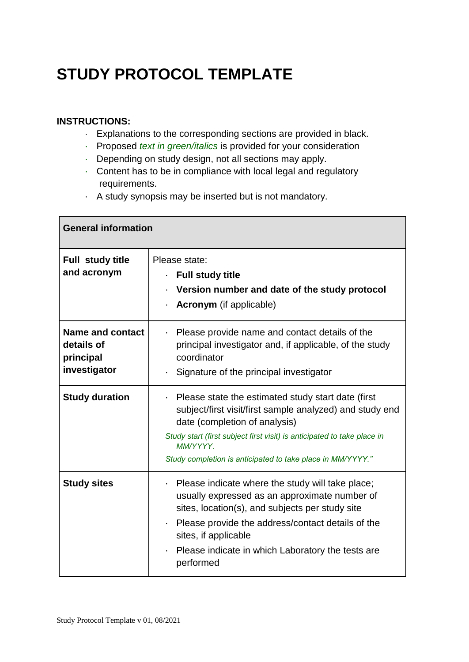## **STUDY PROTOCOL TEMPLATE**

## **INSTRUCTIONS:**

- · Explanations to the corresponding sections are provided in black.
- · Proposed *text in green/italics* is provided for your consideration
- · Depending on study design, not all sections may apply.
- · Content has to be in compliance with local legal and regulatory requirements.
- · A study synopsis may be inserted but is not mandatory.

| <b>General information</b>                                         |                                                                                                                                                                                                                                                                                                                        |
|--------------------------------------------------------------------|------------------------------------------------------------------------------------------------------------------------------------------------------------------------------------------------------------------------------------------------------------------------------------------------------------------------|
| <b>Full study title</b><br>and acronym                             | Please state:<br><b>Full study title</b><br>×,<br>• Version number and date of the study protocol<br>• <b>Acronym</b> (if applicable)                                                                                                                                                                                  |
| <b>Name and contact</b><br>details of<br>principal<br>investigator | Please provide name and contact details of the<br>principal investigator and, if applicable, of the study<br>coordinator<br>Signature of the principal investigator<br>×,                                                                                                                                              |
| <b>Study duration</b>                                              | Please state the estimated study start date (first<br>$\blacksquare$<br>subject/first visit/first sample analyzed) and study end<br>date (completion of analysis)<br>Study start (first subject first visit) is anticipated to take place in<br>MM/YYYY.<br>Study completion is anticipated to take place in MM/YYYY." |
| <b>Study sites</b>                                                 | Please indicate where the study will take place;<br>×.<br>usually expressed as an approximate number of<br>sites, location(s), and subjects per study site<br>Please provide the address/contact details of the<br>ä,<br>sites, if applicable<br>Please indicate in which Laboratory the tests are<br>performed        |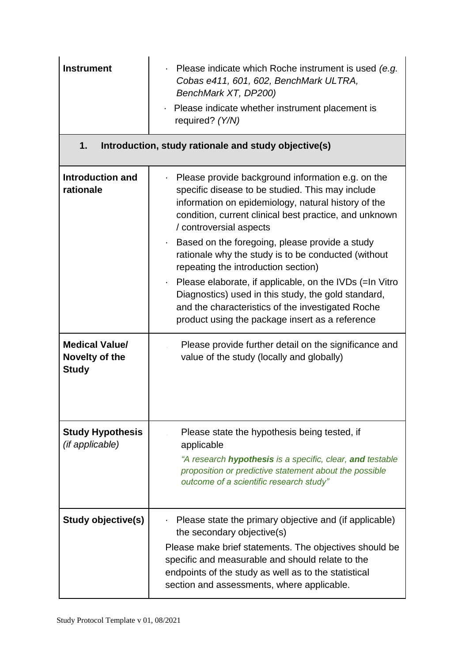| <b>Instrument</b>                                       | Please indicate which Roche instrument is used (e.g.<br>×,<br>Cobas e411, 601, 602, BenchMark ULTRA,<br>BenchMark XT, DP200)<br>Please indicate whether instrument placement is<br>required? (Y/N)                                                                                                       |
|---------------------------------------------------------|----------------------------------------------------------------------------------------------------------------------------------------------------------------------------------------------------------------------------------------------------------------------------------------------------------|
| 1.                                                      | Introduction, study rationale and study objective(s)                                                                                                                                                                                                                                                     |
| Introduction and<br>rationale                           | Please provide background information e.g. on the<br>specific disease to be studied. This may include<br>information on epidemiology, natural history of the<br>condition, current clinical best practice, and unknown<br>/ controversial aspects                                                        |
|                                                         | . Based on the foregoing, please provide a study<br>rationale why the study is to be conducted (without<br>repeating the introduction section)                                                                                                                                                           |
|                                                         | Please elaborate, if applicable, on the IVDs (=In Vitro<br>$\blacksquare$<br>Diagnostics) used in this study, the gold standard,<br>and the characteristics of the investigated Roche<br>product using the package insert as a reference                                                                 |
| <b>Medical Value/</b><br>Novelty of the<br><b>Study</b> | Please provide further detail on the significance and<br>value of the study (locally and globally)                                                                                                                                                                                                       |
| <b>Study Hypothesis</b><br>(if applicable)              | Please state the hypothesis being tested, if<br>applicable<br>"A research <b>hypothesis</b> is a specific, clear, and testable<br>proposition or predictive statement about the possible<br>outcome of a scientific research study"                                                                      |
| Study objective(s)                                      | Please state the primary objective and (if applicable)<br>the secondary objective(s)<br>Please make brief statements. The objectives should be<br>specific and measurable and should relate to the<br>endpoints of the study as well as to the statistical<br>section and assessments, where applicable. |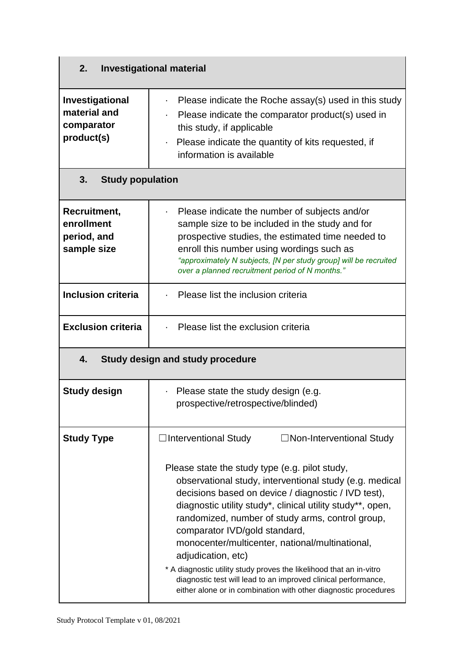| 2.<br><b>Investigational material</b>                       |                                                                                                                                                                                                                                                                                                                                                                                                                                                                                                                                                                                                          |  |  |
|-------------------------------------------------------------|----------------------------------------------------------------------------------------------------------------------------------------------------------------------------------------------------------------------------------------------------------------------------------------------------------------------------------------------------------------------------------------------------------------------------------------------------------------------------------------------------------------------------------------------------------------------------------------------------------|--|--|
| Investigational<br>material and<br>comparator<br>product(s) | Please indicate the Roche assay(s) used in this study<br>Please indicate the comparator product(s) used in<br>this study, if applicable<br>Please indicate the quantity of kits requested, if<br>information is available                                                                                                                                                                                                                                                                                                                                                                                |  |  |
| 3.                                                          | <b>Study population</b>                                                                                                                                                                                                                                                                                                                                                                                                                                                                                                                                                                                  |  |  |
| Recruitment,<br>enrollment<br>period, and<br>sample size    | Please indicate the number of subjects and/or<br>$\blacksquare$<br>sample size to be included in the study and for<br>prospective studies, the estimated time needed to<br>enroll this number using wordings such as<br>"approximately N subjects, [N per study group] will be recruited<br>over a planned recruitment period of N months."                                                                                                                                                                                                                                                              |  |  |
| <b>Inclusion criteria</b>                                   | Please list the inclusion criteria                                                                                                                                                                                                                                                                                                                                                                                                                                                                                                                                                                       |  |  |
| <b>Exclusion criteria</b>                                   | Please list the exclusion criteria                                                                                                                                                                                                                                                                                                                                                                                                                                                                                                                                                                       |  |  |
| 4.<br><b>Study design and study procedure</b>               |                                                                                                                                                                                                                                                                                                                                                                                                                                                                                                                                                                                                          |  |  |
| <b>Study design</b>                                         | • Please state the study design (e.g.<br>prospective/retrospective/blinded)                                                                                                                                                                                                                                                                                                                                                                                                                                                                                                                              |  |  |
| <b>Study Type</b>                                           | $\Box$ Interventional Study<br>$\Box$ Non-Interventional Study                                                                                                                                                                                                                                                                                                                                                                                                                                                                                                                                           |  |  |
|                                                             | Please state the study type (e.g. pilot study,<br>observational study, interventional study (e.g. medical<br>decisions based on device / diagnostic / IVD test),<br>diagnostic utility study*, clinical utility study**, open,<br>randomized, number of study arms, control group,<br>comparator IVD/gold standard,<br>monocenter/multicenter, national/multinational,<br>adjudication, etc)<br>* A diagnostic utility study proves the likelihood that an in-vitro<br>diagnostic test will lead to an improved clinical performance,<br>either alone or in combination with other diagnostic procedures |  |  |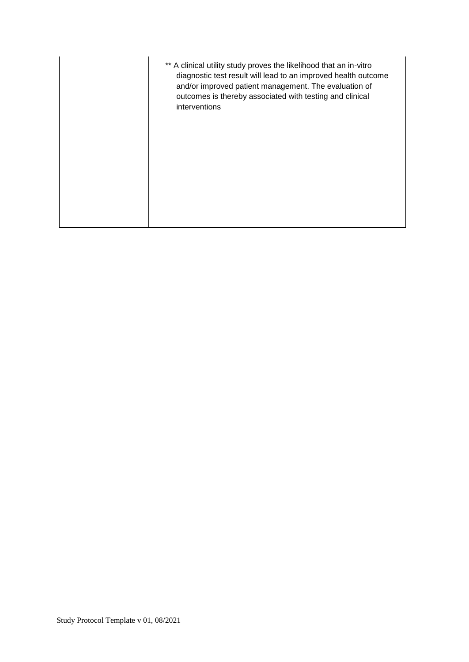| ** A clinical utility study proves the likelihood that an in-vitro<br>diagnostic test result will lead to an improved health outcome<br>and/or improved patient management. The evaluation of<br>outcomes is thereby associated with testing and clinical<br>interventions |
|----------------------------------------------------------------------------------------------------------------------------------------------------------------------------------------------------------------------------------------------------------------------------|
|                                                                                                                                                                                                                                                                            |
|                                                                                                                                                                                                                                                                            |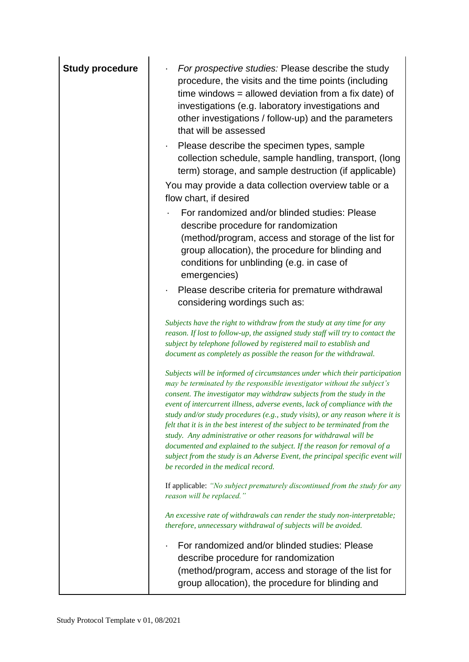| <b>Study procedure</b> | For prospective studies: Please describe the study<br>procedure, the visits and the time points (including<br>time windows $=$ allowed deviation from a fix date) of<br>investigations (e.g. laboratory investigations and<br>other investigations / follow-up) and the parameters<br>that will be assessed<br>Please describe the specimen types, sample<br>collection schedule, sample handling, transport, (long<br>term) storage, and sample destruction (if applicable)<br>You may provide a data collection overview table or a                                                                                                                                                                                                                 |
|------------------------|-------------------------------------------------------------------------------------------------------------------------------------------------------------------------------------------------------------------------------------------------------------------------------------------------------------------------------------------------------------------------------------------------------------------------------------------------------------------------------------------------------------------------------------------------------------------------------------------------------------------------------------------------------------------------------------------------------------------------------------------------------|
|                        | flow chart, if desired<br>For randomized and/or blinded studies: Please<br>describe procedure for randomization<br>(method/program, access and storage of the list for<br>group allocation), the procedure for blinding and<br>conditions for unblinding (e.g. in case of<br>emergencies)<br>Please describe criteria for premature withdrawal<br>$\blacksquare$                                                                                                                                                                                                                                                                                                                                                                                      |
|                        | considering wordings such as:<br>Subjects have the right to withdraw from the study at any time for any<br>reason. If lost to follow-up, the assigned study staff will try to contact the<br>subject by telephone followed by registered mail to establish and<br>document as completely as possible the reason for the withdrawal.                                                                                                                                                                                                                                                                                                                                                                                                                   |
|                        | Subjects will be informed of circumstances under which their participation<br>may be terminated by the responsible investigator without the subject's<br>consent. The investigator may withdraw subjects from the study in the<br>event of intercurrent illness, adverse events, lack of compliance with the<br>study and/or study procedures (e.g., study visits), or any reason where it is<br>felt that it is in the best interest of the subject to be terminated from the<br>study. Any administrative or other reasons for withdrawal will be<br>documented and explained to the subject. If the reason for removal of a<br>subject from the study is an Adverse Event, the principal specific event will<br>be recorded in the medical record. |
|                        | If applicable: "No subject prematurely discontinued from the study for any<br>reason will be replaced."                                                                                                                                                                                                                                                                                                                                                                                                                                                                                                                                                                                                                                               |
|                        | An excessive rate of withdrawals can render the study non-interpretable;<br>therefore, unnecessary withdrawal of subjects will be avoided.                                                                                                                                                                                                                                                                                                                                                                                                                                                                                                                                                                                                            |
|                        | For randomized and/or blinded studies: Please<br>describe procedure for randomization<br>(method/program, access and storage of the list for<br>group allocation), the procedure for blinding and                                                                                                                                                                                                                                                                                                                                                                                                                                                                                                                                                     |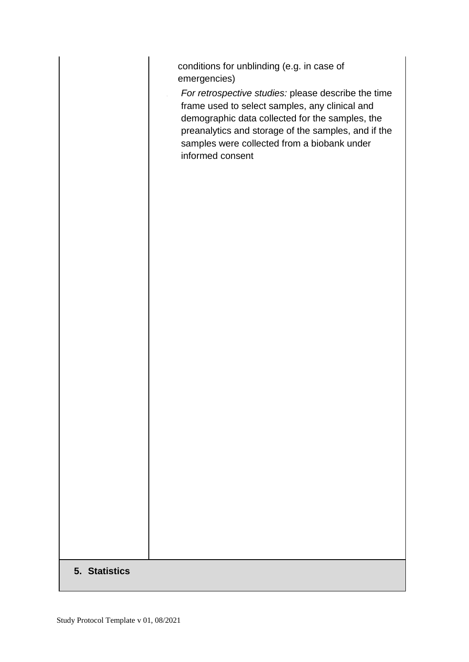|               | conditions for unblinding (e.g. in case of<br>emergencies)<br>For retrospective studies: please describe the time<br>frame used to select samples, any clinical and<br>demographic data collected for the samples, the<br>preanalytics and storage of the samples, and if the<br>samples were collected from a biobank under<br>informed consent |
|---------------|--------------------------------------------------------------------------------------------------------------------------------------------------------------------------------------------------------------------------------------------------------------------------------------------------------------------------------------------------|
|               |                                                                                                                                                                                                                                                                                                                                                  |
|               |                                                                                                                                                                                                                                                                                                                                                  |
| 5. Statistics |                                                                                                                                                                                                                                                                                                                                                  |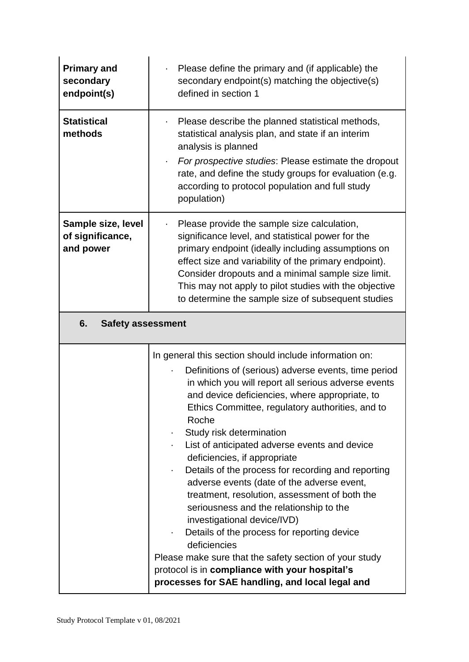| <b>Primary and</b><br>secondary<br>endpoint(s)      | Please define the primary and (if applicable) the<br>$\blacksquare$<br>secondary endpoint(s) matching the objective(s)<br>defined in section 1                                                                                                                                                                                                                                                                                                                                                                                                                                                                                                                                                                                                                                                                                                                 |  |
|-----------------------------------------------------|----------------------------------------------------------------------------------------------------------------------------------------------------------------------------------------------------------------------------------------------------------------------------------------------------------------------------------------------------------------------------------------------------------------------------------------------------------------------------------------------------------------------------------------------------------------------------------------------------------------------------------------------------------------------------------------------------------------------------------------------------------------------------------------------------------------------------------------------------------------|--|
| <b>Statistical</b><br>methods                       | Please describe the planned statistical methods,<br>statistical analysis plan, and state if an interim<br>analysis is planned<br>For prospective studies: Please estimate the dropout<br>$\blacksquare$<br>rate, and define the study groups for evaluation (e.g.<br>according to protocol population and full study<br>population)                                                                                                                                                                                                                                                                                                                                                                                                                                                                                                                            |  |
| Sample size, level<br>of significance,<br>and power | Please provide the sample size calculation,<br>significance level, and statistical power for the<br>primary endpoint (ideally including assumptions on<br>effect size and variability of the primary endpoint).<br>Consider dropouts and a minimal sample size limit.<br>This may not apply to pilot studies with the objective<br>to determine the sample size of subsequent studies                                                                                                                                                                                                                                                                                                                                                                                                                                                                          |  |
| 6.<br><b>Safety assessment</b>                      |                                                                                                                                                                                                                                                                                                                                                                                                                                                                                                                                                                                                                                                                                                                                                                                                                                                                |  |
|                                                     | In general this section should include information on:<br>Definitions of (serious) adverse events, time period<br>in which you will report all serious adverse events<br>and device deficiencies, where appropriate, to<br>Ethics Committee, regulatory authorities, and to<br>Roche<br>Study risk determination<br>List of anticipated adverse events and device<br>deficiencies, if appropriate<br>Details of the process for recording and reporting<br>adverse events (date of the adverse event,<br>treatment, resolution, assessment of both the<br>seriousness and the relationship to the<br>investigational device/IVD)<br>Details of the process for reporting device<br>deficiencies<br>Please make sure that the safety section of your study<br>protocol is in compliance with your hospital's<br>processes for SAE handling, and local legal and |  |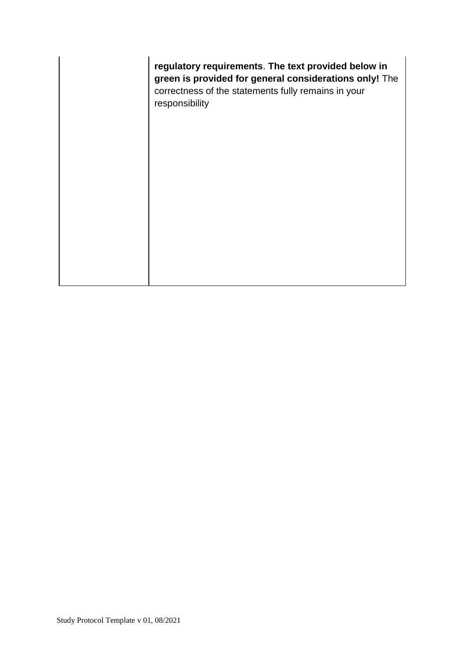**regulatory requirements**. **The text provided below in green is provided for general considerations only!** The correctness of the statements fully remains in your responsibility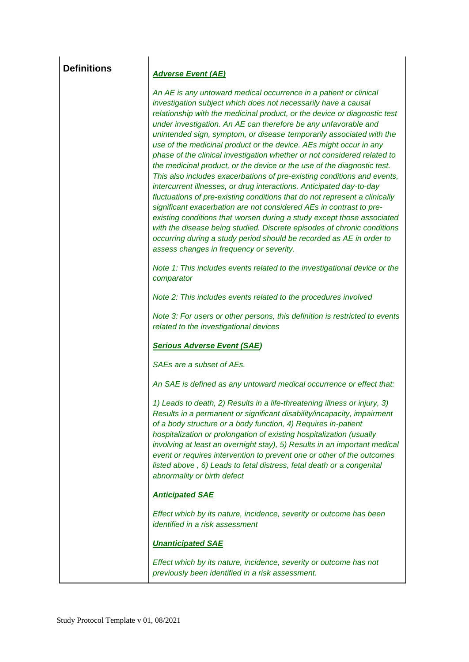| <b>Definitions</b> | <b>Adverse Event (AE)</b>                                                                                                                                                                                                                                                                                                                                                                                                                                                                                                                                                                                                                                                                                                                                                                                                                                                                                                                                                                                                                                                                                                                                                 |
|--------------------|---------------------------------------------------------------------------------------------------------------------------------------------------------------------------------------------------------------------------------------------------------------------------------------------------------------------------------------------------------------------------------------------------------------------------------------------------------------------------------------------------------------------------------------------------------------------------------------------------------------------------------------------------------------------------------------------------------------------------------------------------------------------------------------------------------------------------------------------------------------------------------------------------------------------------------------------------------------------------------------------------------------------------------------------------------------------------------------------------------------------------------------------------------------------------|
|                    | An AE is any untoward medical occurrence in a patient or clinical<br>investigation subject which does not necessarily have a causal<br>relationship with the medicinal product, or the device or diagnostic test<br>under investigation. An AE can therefore be any unfavorable and<br>unintended sign, symptom, or disease temporarily associated with the<br>use of the medicinal product or the device. AEs might occur in any<br>phase of the clinical investigation whether or not considered related to<br>the medicinal product, or the device or the use of the diagnostic test.<br>This also includes exacerbations of pre-existing conditions and events,<br>intercurrent illnesses, or drug interactions. Anticipated day-to-day<br>fluctuations of pre-existing conditions that do not represent a clinically<br>significant exacerbation are not considered AEs in contrast to pre-<br>existing conditions that worsen during a study except those associated<br>with the disease being studied. Discrete episodes of chronic conditions<br>occurring during a study period should be recorded as AE in order to<br>assess changes in frequency or severity. |
|                    | Note 1: This includes events related to the investigational device or the<br>comparator                                                                                                                                                                                                                                                                                                                                                                                                                                                                                                                                                                                                                                                                                                                                                                                                                                                                                                                                                                                                                                                                                   |
|                    | Note 2: This includes events related to the procedures involved                                                                                                                                                                                                                                                                                                                                                                                                                                                                                                                                                                                                                                                                                                                                                                                                                                                                                                                                                                                                                                                                                                           |
|                    | Note 3: For users or other persons, this definition is restricted to events<br>related to the investigational devices                                                                                                                                                                                                                                                                                                                                                                                                                                                                                                                                                                                                                                                                                                                                                                                                                                                                                                                                                                                                                                                     |
|                    | <b>Serious Adverse Event (SAE)</b>                                                                                                                                                                                                                                                                                                                                                                                                                                                                                                                                                                                                                                                                                                                                                                                                                                                                                                                                                                                                                                                                                                                                        |
|                    | SAEs are a subset of AEs.                                                                                                                                                                                                                                                                                                                                                                                                                                                                                                                                                                                                                                                                                                                                                                                                                                                                                                                                                                                                                                                                                                                                                 |
|                    | An SAE is defined as any untoward medical occurrence or effect that:                                                                                                                                                                                                                                                                                                                                                                                                                                                                                                                                                                                                                                                                                                                                                                                                                                                                                                                                                                                                                                                                                                      |
|                    | 1) Leads to death, 2) Results in a life-threatening illness or injury, 3)<br>Results in a permanent or significant disability/incapacity, impairment<br>of a body structure or a body function, 4) Requires in-patient<br>hospitalization or prolongation of existing hospitalization (usually<br>involving at least an overnight stay), 5) Results in an important medical<br>event or requires intervention to prevent one or other of the outcomes<br>listed above, 6) Leads to fetal distress, fetal death or a congenital<br>abnormality or birth defect                                                                                                                                                                                                                                                                                                                                                                                                                                                                                                                                                                                                             |
|                    | <b>Anticipated SAE</b>                                                                                                                                                                                                                                                                                                                                                                                                                                                                                                                                                                                                                                                                                                                                                                                                                                                                                                                                                                                                                                                                                                                                                    |
|                    | Effect which by its nature, incidence, severity or outcome has been<br>identified in a risk assessment                                                                                                                                                                                                                                                                                                                                                                                                                                                                                                                                                                                                                                                                                                                                                                                                                                                                                                                                                                                                                                                                    |
|                    | <b>Unanticipated SAE</b>                                                                                                                                                                                                                                                                                                                                                                                                                                                                                                                                                                                                                                                                                                                                                                                                                                                                                                                                                                                                                                                                                                                                                  |
|                    | Effect which by its nature, incidence, severity or outcome has not<br>previously been identified in a risk assessment.                                                                                                                                                                                                                                                                                                                                                                                                                                                                                                                                                                                                                                                                                                                                                                                                                                                                                                                                                                                                                                                    |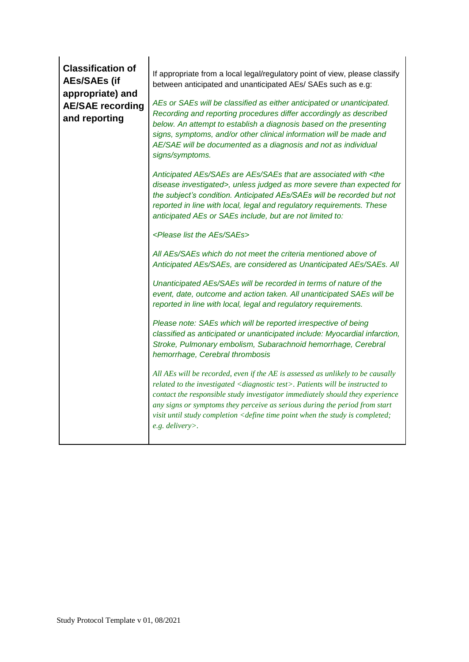| <b>Classification of</b><br><b>AEs/SAEs (if</b><br>appropriate) and<br><b>AE/SAE recording</b><br>and reporting | If appropriate from a local legal/regulatory point of view, please classify<br>between anticipated and unanticipated AEs/ SAEs such as e.g:<br>AEs or SAEs will be classified as either anticipated or unanticipated.<br>Recording and reporting procedures differ accordingly as described<br>below. An attempt to establish a diagnosis based on the presenting<br>signs, symptoms, and/or other clinical information will be made and<br>AE/SAE will be documented as a diagnosis and not as individual<br>signs/symptoms. |
|-----------------------------------------------------------------------------------------------------------------|-------------------------------------------------------------------------------------------------------------------------------------------------------------------------------------------------------------------------------------------------------------------------------------------------------------------------------------------------------------------------------------------------------------------------------------------------------------------------------------------------------------------------------|
|                                                                                                                 | Anticipated AEs/SAEs are AEs/SAEs that are associated with <the<br>disease investigated&gt;, unless judged as more severe than expected for<br/>the subject's condition. Anticipated AEs/SAEs will be recorded but not<br/>reported in line with local, legal and regulatory requirements. These<br/>anticipated AEs or SAEs include, but are not limited to:</the<br>                                                                                                                                                        |
|                                                                                                                 | <please aes="" list="" saes="" the=""></please>                                                                                                                                                                                                                                                                                                                                                                                                                                                                               |
|                                                                                                                 | All AEs/SAEs which do not meet the criteria mentioned above of<br>Anticipated AEs/SAEs, are considered as Unanticipated AEs/SAEs. All                                                                                                                                                                                                                                                                                                                                                                                         |
|                                                                                                                 | Unanticipated AEs/SAEs will be recorded in terms of nature of the<br>event, date, outcome and action taken. All unanticipated SAEs will be<br>reported in line with local, legal and regulatory requirements.                                                                                                                                                                                                                                                                                                                 |
|                                                                                                                 | Please note: SAEs which will be reported irrespective of being<br>classified as anticipated or unanticipated include: Myocardial infarction,<br>Stroke, Pulmonary embolism, Subarachnoid hemorrhage, Cerebral<br>hemorrhage, Cerebral thrombosis                                                                                                                                                                                                                                                                              |
|                                                                                                                 | All AEs will be recorded, even if the AE is assessed as unlikely to be causally<br>related to the investigated <diagnostic test="">. Patients will be instructed to<br/>contact the responsible study investigator immediately should they experience<br/>any signs or symptoms they perceive as serious during the period from start<br/>visit until study completion <define completed;<br="" is="" point="" study="" the="" time="" when="">e.g. delivery&gt;.</define></diagnostic>                                       |

a l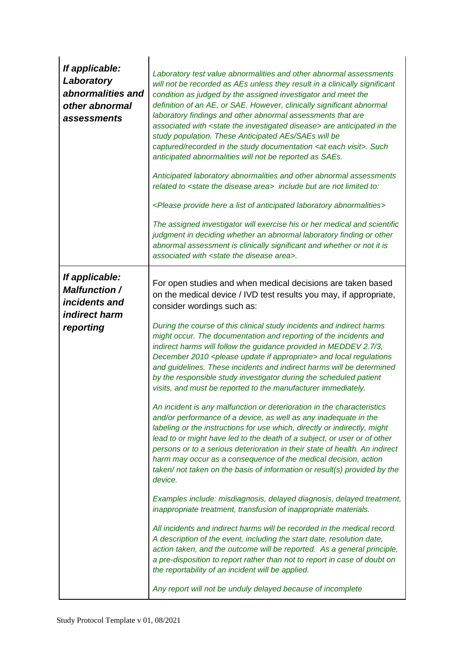| If applicable:<br>Laboratory<br>abnormalities and<br>other abnormal<br>assessments                  | Laboratory test value abnormalities and other abnormal assessments<br>will not be recorded as AEs unless they result in a clinically significant<br>condition as judged by the assigned investigator and meet the<br>definition of an AE, or SAE. However, clinically significant abnormal<br>laboratory findings and other abnormal assessments that are<br>associated with <state disease="" investigated="" the=""> are anticipated in the<br/>study population. These Anticipated AEs/SAEs will be<br/>captured/recorded in the study documentation <at each="" visit="">. Such<br/>anticipated abnormalities will not be reported as SAEs.<br/>Anticipated laboratory abnormalities and other abnormal assessments<br/>related to <state area="" disease="" the=""> include but are not limited to:<br/><please a="" abnormalities="" anticipated="" here="" laboratory="" list="" of="" provide=""><br/>The assigned investigator will exercise his or her medical and scientific<br/>judgment in deciding whether an abnormal laboratory finding or other<br/>abnormal assessment is clinically significant and whether or not it is<br/>associated with <state area="" disease="" the="">.</state></please></state></at></state>                                                                                                                                                                                                                                                                                                                                                                                                                                                                                                                                                                                                    |
|-----------------------------------------------------------------------------------------------------|---------------------------------------------------------------------------------------------------------------------------------------------------------------------------------------------------------------------------------------------------------------------------------------------------------------------------------------------------------------------------------------------------------------------------------------------------------------------------------------------------------------------------------------------------------------------------------------------------------------------------------------------------------------------------------------------------------------------------------------------------------------------------------------------------------------------------------------------------------------------------------------------------------------------------------------------------------------------------------------------------------------------------------------------------------------------------------------------------------------------------------------------------------------------------------------------------------------------------------------------------------------------------------------------------------------------------------------------------------------------------------------------------------------------------------------------------------------------------------------------------------------------------------------------------------------------------------------------------------------------------------------------------------------------------------------------------------------------------------------------------------------------------------------------------------------------------------------------|
| If applicable:<br><b>Malfunction /</b><br><i>incidents and</i><br><b>indirect harm</b><br>reporting | For open studies and when medical decisions are taken based<br>on the medical device / IVD test results you may, if appropriate,<br>consider wordings such as:<br>During the course of this clinical study incidents and indirect harms<br>might occur. The documentation and reporting of the incidents and<br>indirect harms will follow the guidance provided in MEDDEV 2.7/3,<br>December 2010 <please appropriate="" if="" update=""> and local regulations<br/>and guidelines. These incidents and indirect harms will be determined<br/>by the responsible study investigator during the scheduled patient<br/>visits, and must be reported to the manufacturer immediately.<br/>An incident is any malfunction or deterioration in the characteristics<br/>and/or performance of a device, as well as any inadequate in the<br/>labeling or the instructions for use which, directly or indirectly, might<br/>lead to or might have led to the death of a subject, or user or of other<br/>persons or to a serious deterioration in their state of health. An indirect<br/>harm may occur as a consequence of the medical decision, action<br/>taken/not taken on the basis of information or result(s) provided by the<br/>device.<br/>Examples include: misdiagnosis, delayed diagnosis, delayed treatment,<br/>inappropriate treatment, transfusion of inappropriate materials.<br/>All incidents and indirect harms will be recorded in the medical record.<br/>A description of the event, including the start date, resolution date,<br/>action taken, and the outcome will be reported. As a general principle,<br/>a pre-disposition to report rather than not to report in case of doubt on<br/>the reportability of an incident will be applied.<br/>Any report will not be unduly delayed because of incomplete</please> |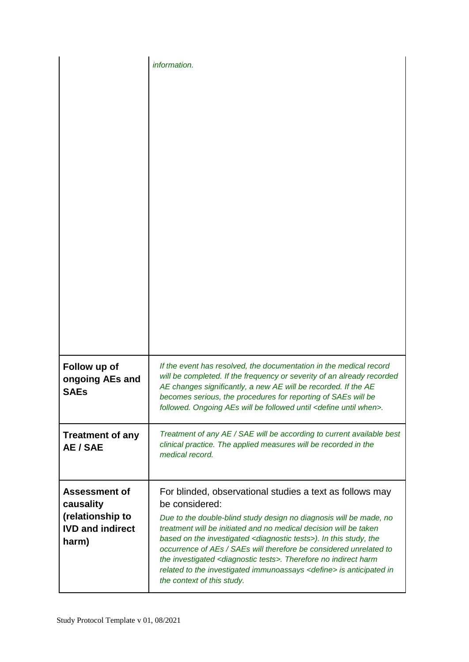|                                                                                           | information.                                                                                                                                                                                                                                                                                                                                                                                                                                                                                                                                                                 |
|-------------------------------------------------------------------------------------------|------------------------------------------------------------------------------------------------------------------------------------------------------------------------------------------------------------------------------------------------------------------------------------------------------------------------------------------------------------------------------------------------------------------------------------------------------------------------------------------------------------------------------------------------------------------------------|
| Follow up of<br>ongoing AEs and<br><b>SAEs</b>                                            | If the event has resolved, the documentation in the medical record<br>will be completed. If the frequency or severity of an already recorded<br>AE changes significantly, a new AE will be recorded. If the AE<br>becomes serious, the procedures for reporting of SAEs will be<br>followed. Ongoing AEs will be followed until <define until="" when="">.</define>                                                                                                                                                                                                          |
| <b>Treatment of any</b><br>AE / SAE                                                       | Treatment of any AE / SAE will be according to current available best<br>clinical practice. The applied measures will be recorded in the<br>medical record.                                                                                                                                                                                                                                                                                                                                                                                                                  |
| <b>Assessment of</b><br>causality<br>(relationship to<br><b>IVD and indirect</b><br>harm) | For blinded, observational studies a text as follows may<br>be considered:<br>Due to the double-blind study design no diagnosis will be made, no<br>treatment will be initiated and no medical decision will be taken<br>based on the investigated <diagnostic tests="">). In this study, the<br/>occurrence of AEs / SAEs will therefore be considered unrelated to<br/>the investigated &lt; diagnostic tests&gt;. Therefore no indirect harm<br/>related to the investigated immunoassays <define> is anticipated in<br/>the context of this study.</define></diagnostic> |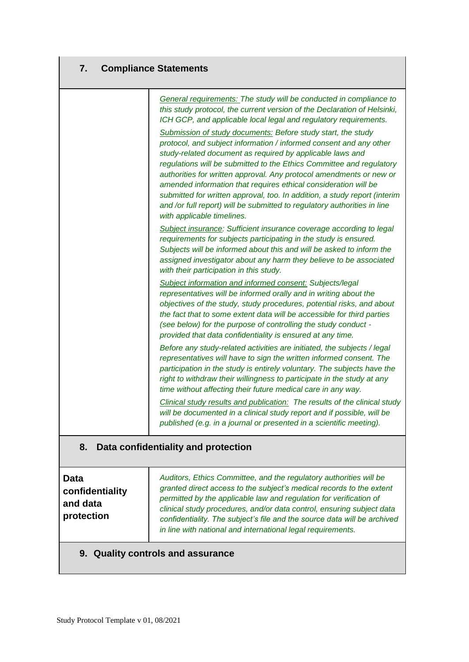## **7. Compliance Statements**

|                                                   | General requirements: The study will be conducted in compliance to<br>this study protocol, the current version of the Declaration of Helsinki,<br>ICH GCP, and applicable local legal and regulatory requirements.                                                                                                                                                                                                                                                                                                                                                                                       |
|---------------------------------------------------|----------------------------------------------------------------------------------------------------------------------------------------------------------------------------------------------------------------------------------------------------------------------------------------------------------------------------------------------------------------------------------------------------------------------------------------------------------------------------------------------------------------------------------------------------------------------------------------------------------|
|                                                   | Submission of study documents: Before study start, the study<br>protocol, and subject information / informed consent and any other<br>study-related document as required by applicable laws and<br>regulations will be submitted to the Ethics Committee and regulatory<br>authorities for written approval. Any protocol amendments or new or<br>amended information that requires ethical consideration will be<br>submitted for written approval, too. In addition, a study report (interim<br>and /or full report) will be submitted to regulatory authorities in line<br>with applicable timelines. |
|                                                   | Subject insurance: Sufficient insurance coverage according to legal<br>requirements for subjects participating in the study is ensured.<br>Subjects will be informed about this and will be asked to inform the<br>assigned investigator about any harm they believe to be associated<br>with their participation in this study.                                                                                                                                                                                                                                                                         |
|                                                   | <b>Subject information and informed consent: Subjects/legal</b><br>representatives will be informed orally and in writing about the<br>objectives of the study, study procedures, potential risks, and about<br>the fact that to some extent data will be accessible for third parties<br>(see below) for the purpose of controlling the study conduct -<br>provided that data confidentiality is ensured at any time.                                                                                                                                                                                   |
|                                                   | Before any study-related activities are initiated, the subjects / legal<br>representatives will have to sign the written informed consent. The<br>participation in the study is entirely voluntary. The subjects have the<br>right to withdraw their willingness to participate in the study at any<br>time without affecting their future medical care in any way.                                                                                                                                                                                                                                      |
|                                                   | Clinical study results and publication: The results of the clinical study<br>will be documented in a clinical study report and if possible, will be<br>published (e.g. in a journal or presented in a scientific meeting).                                                                                                                                                                                                                                                                                                                                                                               |
| 8.                                                | Data confidentiality and protection                                                                                                                                                                                                                                                                                                                                                                                                                                                                                                                                                                      |
| Data<br>confidentiality<br>and data<br>protection | Auditors, Ethics Committee, and the regulatory authorities will be<br>granted direct access to the subject's medical records to the extent<br>permitted by the applicable law and regulation for verification of<br>clinical study procedures, and/or data control, ensuring subject data<br>confidentiality. The subject's file and the source data will be archived<br>in line with national and international legal requirements.                                                                                                                                                                     |
|                                                   | 9. Quality controls and assurance                                                                                                                                                                                                                                                                                                                                                                                                                                                                                                                                                                        |